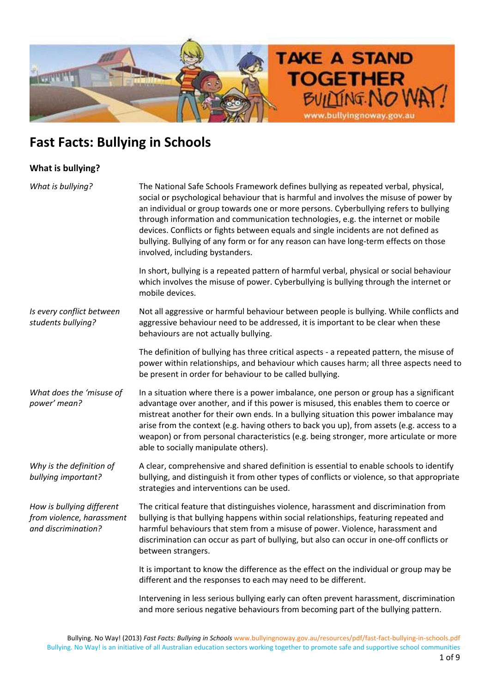

### **What is bullying?**

| What is bullying?                                                             | The National Safe Schools Framework defines bullying as repeated verbal, physical,<br>social or psychological behaviour that is harmful and involves the misuse of power by<br>an individual or group towards one or more persons. Cyberbullying refers to bullying<br>through information and communication technologies, e.g. the internet or mobile<br>devices. Conflicts or fights between equals and single incidents are not defined as<br>bullying. Bullying of any form or for any reason can have long-term effects on those<br>involved, including bystanders. |
|-------------------------------------------------------------------------------|--------------------------------------------------------------------------------------------------------------------------------------------------------------------------------------------------------------------------------------------------------------------------------------------------------------------------------------------------------------------------------------------------------------------------------------------------------------------------------------------------------------------------------------------------------------------------|
|                                                                               | In short, bullying is a repeated pattern of harmful verbal, physical or social behaviour<br>which involves the misuse of power. Cyberbullying is bullying through the internet or<br>mobile devices.                                                                                                                                                                                                                                                                                                                                                                     |
| Is every conflict between<br>students bullying?                               | Not all aggressive or harmful behaviour between people is bullying. While conflicts and<br>aggressive behaviour need to be addressed, it is important to be clear when these<br>behaviours are not actually bullying.                                                                                                                                                                                                                                                                                                                                                    |
|                                                                               | The definition of bullying has three critical aspects - a repeated pattern, the misuse of<br>power within relationships, and behaviour which causes harm; all three aspects need to<br>be present in order for behaviour to be called bullying.                                                                                                                                                                                                                                                                                                                          |
| What does the 'misuse of<br>power' mean?                                      | In a situation where there is a power imbalance, one person or group has a significant<br>advantage over another, and if this power is misused, this enables them to coerce or<br>mistreat another for their own ends. In a bullying situation this power imbalance may<br>arise from the context (e.g. having others to back you up), from assets (e.g. access to a<br>weapon) or from personal characteristics (e.g. being stronger, more articulate or more<br>able to socially manipulate others).                                                                   |
| Why is the definition of<br>bullying important?                               | A clear, comprehensive and shared definition is essential to enable schools to identify<br>bullying, and distinguish it from other types of conflicts or violence, so that appropriate<br>strategies and interventions can be used.                                                                                                                                                                                                                                                                                                                                      |
| How is bullying different<br>from violence, harassment<br>and discrimination? | The critical feature that distinguishes violence, harassment and discrimination from<br>bullying is that bullying happens within social relationships, featuring repeated and<br>harmful behaviours that stem from a misuse of power. Violence, harassment and<br>discrimination can occur as part of bullying, but also can occur in one-off conflicts or<br>between strangers.                                                                                                                                                                                         |
|                                                                               | It is important to know the difference as the effect on the individual or group may be<br>different and the responses to each may need to be different.                                                                                                                                                                                                                                                                                                                                                                                                                  |
|                                                                               | Intervening in less serious bullying early can often prevent harassment, discrimination<br>and more serious negative behaviours from becoming part of the bullying pattern.                                                                                                                                                                                                                                                                                                                                                                                              |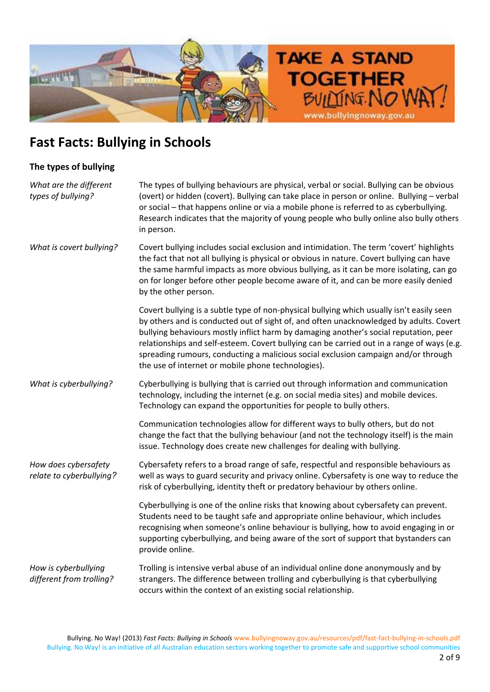

### **The types of bullying**

| What are the different<br>types of bullying?     | The types of bullying behaviours are physical, verbal or social. Bullying can be obvious<br>(overt) or hidden (covert). Bullying can take place in person or online. Bullying - verbal<br>or social - that happens online or via a mobile phone is referred to as cyberbullying.<br>Research indicates that the majority of young people who bully online also bully others<br>in person.                                                                                                                              |
|--------------------------------------------------|------------------------------------------------------------------------------------------------------------------------------------------------------------------------------------------------------------------------------------------------------------------------------------------------------------------------------------------------------------------------------------------------------------------------------------------------------------------------------------------------------------------------|
| What is covert bullying?                         | Covert bullying includes social exclusion and intimidation. The term 'covert' highlights<br>the fact that not all bullying is physical or obvious in nature. Covert bullying can have<br>the same harmful impacts as more obvious bullying, as it can be more isolating, can go<br>on for longer before other people become aware of it, and can be more easily denied<br>by the other person.                                                                                                                         |
|                                                  | Covert bullying is a subtle type of non-physical bullying which usually isn't easily seen<br>by others and is conducted out of sight of, and often unacknowledged by adults. Covert<br>bullying behaviours mostly inflict harm by damaging another's social reputation, peer<br>relationships and self-esteem. Covert bullying can be carried out in a range of ways (e.g.<br>spreading rumours, conducting a malicious social exclusion campaign and/or through<br>the use of internet or mobile phone technologies). |
| What is cyberbullying?                           | Cyberbullying is bullying that is carried out through information and communication<br>technology, including the internet (e.g. on social media sites) and mobile devices.<br>Technology can expand the opportunities for people to bully others.                                                                                                                                                                                                                                                                      |
|                                                  | Communication technologies allow for different ways to bully others, but do not<br>change the fact that the bullying behaviour (and not the technology itself) is the main<br>issue. Technology does create new challenges for dealing with bullying.                                                                                                                                                                                                                                                                  |
| How does cybersafety<br>relate to cyberbullying? | Cybersafety refers to a broad range of safe, respectful and responsible behaviours as<br>well as ways to guard security and privacy online. Cybersafety is one way to reduce the<br>risk of cyberbullying, identity theft or predatory behaviour by others online.                                                                                                                                                                                                                                                     |
|                                                  | Cyberbullying is one of the online risks that knowing about cybersafety can prevent.<br>Students need to be taught safe and appropriate online behaviour, which includes<br>recognising when someone's online behaviour is bullying, how to avoid engaging in or<br>supporting cyberbullying, and being aware of the sort of support that bystanders can<br>provide online.                                                                                                                                            |
| How is cyberbullying<br>different from trolling? | Trolling is intensive verbal abuse of an individual online done anonymously and by<br>strangers. The difference between trolling and cyberbullying is that cyberbullying<br>occurs within the context of an existing social relationship.                                                                                                                                                                                                                                                                              |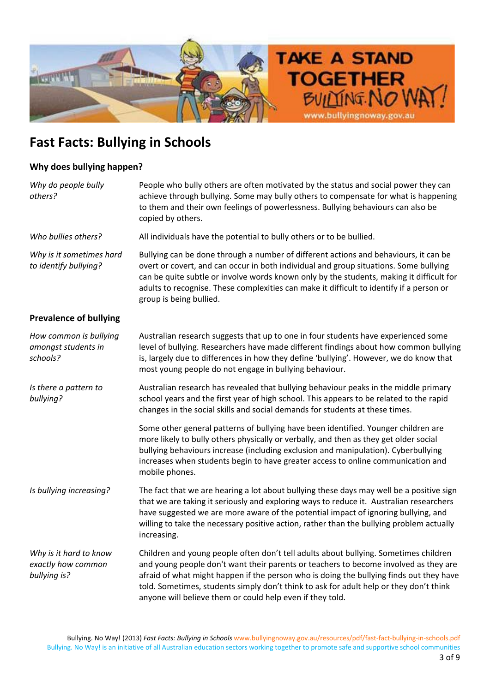

### **Why does bullying happen?**

| Why do people bully<br>others?                               | People who bully others are often motivated by the status and social power they can<br>achieve through bullying. Some may bully others to compensate for what is happening<br>to them and their own feelings of powerlessness. Bullying behaviours can also be<br>copied by others.                                                                                                                                            |
|--------------------------------------------------------------|--------------------------------------------------------------------------------------------------------------------------------------------------------------------------------------------------------------------------------------------------------------------------------------------------------------------------------------------------------------------------------------------------------------------------------|
| Who bullies others?                                          | All individuals have the potential to bully others or to be bullied.                                                                                                                                                                                                                                                                                                                                                           |
| Why is it sometimes hard<br>to identify bullying?            | Bullying can be done through a number of different actions and behaviours, it can be<br>overt or covert, and can occur in both individual and group situations. Some bullying<br>can be quite subtle or involve words known only by the students, making it difficult for<br>adults to recognise. These complexities can make it difficult to identify if a person or<br>group is being bullied.                               |
| <b>Prevalence of bullying</b>                                |                                                                                                                                                                                                                                                                                                                                                                                                                                |
| How common is bullying<br>amongst students in<br>schools?    | Australian research suggests that up to one in four students have experienced some<br>level of bullying. Researchers have made different findings about how common bullying<br>is, largely due to differences in how they define 'bullying'. However, we do know that<br>most young people do not engage in bullying behaviour.                                                                                                |
| Is there a pattern to<br>bullying?                           | Australian research has revealed that bullying behaviour peaks in the middle primary<br>school years and the first year of high school. This appears to be related to the rapid<br>changes in the social skills and social demands for students at these times.                                                                                                                                                                |
|                                                              | Some other general patterns of bullying have been identified. Younger children are<br>more likely to bully others physically or verbally, and then as they get older social<br>bullying behaviours increase (including exclusion and manipulation). Cyberbullying<br>increases when students begin to have greater access to online communication and<br>mobile phones.                                                        |
| Is bullying increasing?                                      | The fact that we are hearing a lot about bullying these days may well be a positive sign<br>that we are taking it seriously and exploring ways to reduce it. Australian researchers<br>have suggested we are more aware of the potential impact of ignoring bullying, and<br>willing to take the necessary positive action, rather than the bullying problem actually<br>increasing.                                           |
| Why is it hard to know<br>exactly how common<br>bullying is? | Children and young people often don't tell adults about bullying. Sometimes children<br>and young people don't want their parents or teachers to become involved as they are<br>afraid of what might happen if the person who is doing the bullying finds out they have<br>told. Sometimes, students simply don't think to ask for adult help or they don't think<br>anyone will believe them or could help even if they told. |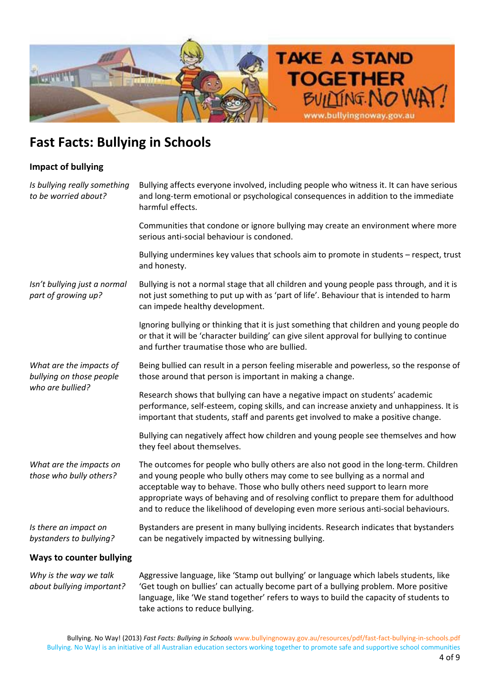

### **Impact of bullying**

| Is bullying really something<br>to be worried about?                    | Bullying affects everyone involved, including people who witness it. It can have serious<br>and long-term emotional or psychological consequences in addition to the immediate<br>harmful effects.                                                                                                                                                                                                                                 |
|-------------------------------------------------------------------------|------------------------------------------------------------------------------------------------------------------------------------------------------------------------------------------------------------------------------------------------------------------------------------------------------------------------------------------------------------------------------------------------------------------------------------|
|                                                                         | Communities that condone or ignore bullying may create an environment where more<br>serious anti-social behaviour is condoned.                                                                                                                                                                                                                                                                                                     |
|                                                                         | Bullying undermines key values that schools aim to promote in students - respect, trust<br>and honesty.                                                                                                                                                                                                                                                                                                                            |
| Isn't bullying just a normal<br>part of growing up?                     | Bullying is not a normal stage that all children and young people pass through, and it is<br>not just something to put up with as 'part of life'. Behaviour that is intended to harm<br>can impede healthy development.                                                                                                                                                                                                            |
|                                                                         | Ignoring bullying or thinking that it is just something that children and young people do<br>or that it will be 'character building' can give silent approval for bullying to continue<br>and further traumatise those who are bullied.                                                                                                                                                                                            |
| What are the impacts of<br>bullying on those people<br>who are bullied? | Being bullied can result in a person feeling miserable and powerless, so the response of<br>those around that person is important in making a change.                                                                                                                                                                                                                                                                              |
|                                                                         | Research shows that bullying can have a negative impact on students' academic<br>performance, self-esteem, coping skills, and can increase anxiety and unhappiness. It is<br>important that students, staff and parents get involved to make a positive change.                                                                                                                                                                    |
|                                                                         | Bullying can negatively affect how children and young people see themselves and how<br>they feel about themselves.                                                                                                                                                                                                                                                                                                                 |
| What are the impacts on<br>those who bully others?                      | The outcomes for people who bully others are also not good in the long-term. Children<br>and young people who bully others may come to see bullying as a normal and<br>acceptable way to behave. Those who bully others need support to learn more<br>appropriate ways of behaving and of resolving conflict to prepare them for adulthood<br>and to reduce the likelihood of developing even more serious anti-social behaviours. |
| Is there an impact on<br>bystanders to bullying?                        | Bystanders are present in many bullying incidents. Research indicates that bystanders<br>can be negatively impacted by witnessing bullying.                                                                                                                                                                                                                                                                                        |
| Ways to counter bullying                                                |                                                                                                                                                                                                                                                                                                                                                                                                                                    |

*Why is the way we talk about bullying important?* Aggressive language, like 'Stamp out bullying' or language which labels students, like 'Get tough on bullies' can actually become part of a bullying problem. More positive language, like 'We stand together' refers to ways to build the capacity of students to take actions to reduce bullying.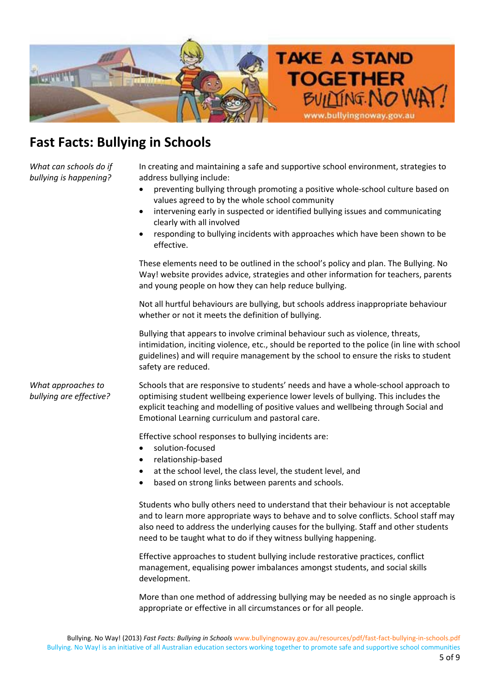

*What can schools do if bullying is happening?*

In creating and maintaining a safe and supportive school environment, strategies to address bullying include:

- preventing bullying through promoting a positive whole-school culture based on values agreed to by the whole school community
- intervening early in suspected or identified bullying issues and communicating clearly with all involved
- responding to bullying incidents with approaches which have been shown to be effective.

These elements need to be outlined in the school's policy and plan. The Bullying. No Way! website provides advice, strategies and other information for teachers, parents and young people on how they can help reduce bullying.

Not all hurtful behaviours are bullying, but schools address inappropriate behaviour whether or not it meets the definition of bullying.

Bullying that appears to involve criminal behaviour such as violence, threats, intimidation, inciting violence, etc., should be reported to the police (in line with school guidelines) and will require management by the school to ensure the risks to student safety are reduced.

*What approaches to bullying are effective?* Schools that are responsive to students' needs and have a whole-school approach to optimising student wellbeing experience lower levels of bullying. This includes the explicit teaching and modelling of positive values and wellbeing through Social and Emotional Learning curriculum and pastoral care.

Effective school responses to bullying incidents are:

- solution-focused
- relationship-based
- at the school level, the class level, the student level, and
- based on strong links between parents and schools.

Students who bully others need to understand that their behaviour is not acceptable and to learn more appropriate ways to behave and to solve conflicts. School staff may also need to address the underlying causes for the bullying. Staff and other students need to be taught what to do if they witness bullying happening.

Effective approaches to student bullying include restorative practices, conflict management, equalising power imbalances amongst students, and social skills development.

More than one method of addressing bullying may be needed as no single approach is appropriate or effective in all circumstances or for all people.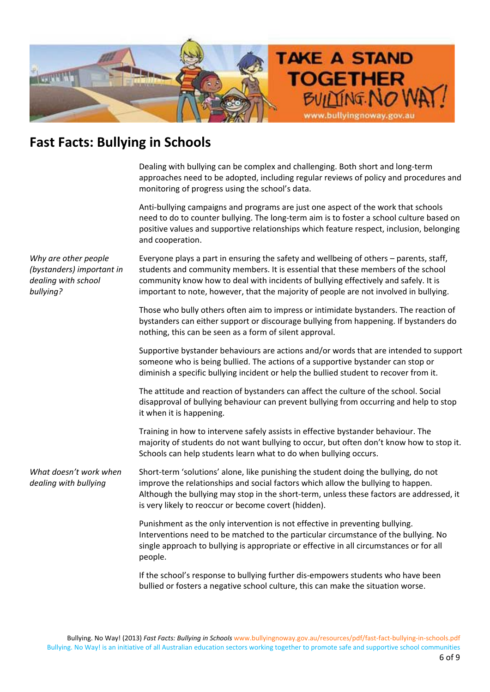

Dealing with bullying can be complex and challenging. Both short and long-term approaches need to be adopted, including regular reviews of policy and procedures and monitoring of progress using the school's data.

Anti-bullying campaigns and programs are just one aspect of the work that schools need to do to counter bullying. The long-term aim is to foster a school culture based on positive values and supportive relationships which feature respect, inclusion, belonging and cooperation.

*Why are other people (bystanders) important in dealing with school bullying?* Everyone plays a part in ensuring the safety and wellbeing of others – parents, staff, students and community members. It is essential that these members of the school community know how to deal with incidents of bullying effectively and safely. It is important to note, however, that the majority of people are not involved in bullying. Those who bully others often aim to impress or intimidate bystanders. The reaction of bystanders can either support or discourage bullying from happening. If bystanders do nothing, this can be seen as a form of silent approval. Supportive bystander behaviours are actions and/or words that are intended to support someone who is being bullied. The actions of a supportive bystander can stop or diminish a specific bullying incident or help the bullied student to recover from it. The attitude and reaction of bystanders can affect the culture of the school. Social disapproval of bullying behaviour can prevent bullying from occurring and help to stop it when it is happening. Training in how to intervene safely assists in effective bystander behaviour. The majority of students do not want bullying to occur, but often don't know how to stop it. Schools can help students learn what to do when bullying occurs. *What doesn't work when dealing with bullying* Short-term 'solutions' alone, like punishing the student doing the bullying, do not improve the relationships and social factors which allow the bullying to happen. Although the bullying may stop in the short-term, unless these factors are addressed, it is very likely to reoccur or become covert (hidden). Punishment as the only intervention is not effective in preventing bullying. Interventions need to be matched to the particular circumstance of the bullying. No single approach to bullying is appropriate or effective in all circumstances or for all people. If the school's response to bullying further dis-empowers students who have been

bullied or fosters a negative school culture, this can make the situation worse.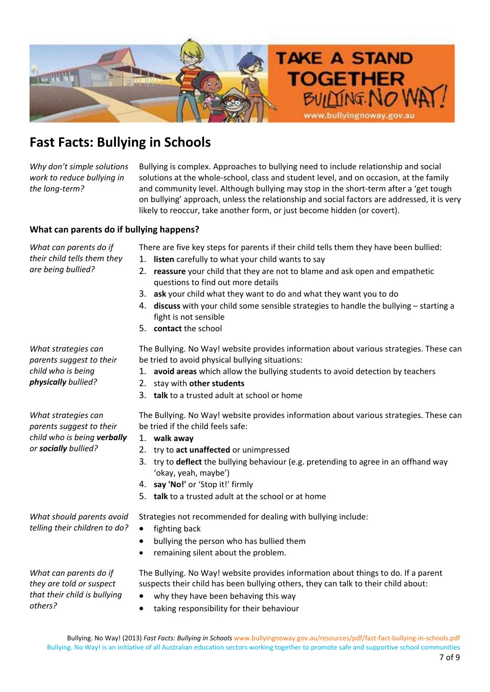

*Why don't simple solutions work to reduce bullying in the long-term?* 

Bullying is complex. Approaches to bullying need to include relationship and social solutions at the whole-school, class and student level, and on occasion, at the family and community level. Although bullying may stop in the short-term after a 'get tough on bullying' approach, unless the relationship and social factors are addressed, it is very likely to reoccur, take another form, or just become hidden (or covert).

#### **What can parents do if bullying happens?**

*What can parents do if their child tells them they are being bullied?*

*What strategies can parents suggest to their child who is being physically bullied?*

There are five key steps for parents if their child tells them they have been bullied:

- 1. **listen** carefully to what your child wants to say
- 2. **reassure** your child that they are not to blame and ask open and empathetic questions to find out more details
- 3. **ask** your child what they want to do and what they want you to do
- 4. **discuss** with your child some sensible strategies to handle the bullying starting a fight is not sensible
- 5. **contact** the school

The Bullying. No Way! website provides information about various strategies. These can be tried to avoid physical bullying situations:

- 1. **avoid areas** which allow the bullying students to avoid detection by teachers
	- 2. stay with **other students**
- 3. **talk** to a trusted adult at school or home

*What strategies can parents suggest to their child who is being verbally or socially bullied?* The Bullying. No Way! website provides information about various strategies. These can be tried if the child feels safe: 1. **walk away**

- 2. try to **act unaffected** or unimpressed
- 3. try to **deflect** the bullying behaviour (e.g. pretending to agree in an offhand way 'okay, yeah, maybe')
- 4. **say 'No!'** or 'Stop it!' firmly
- 5. **talk** to a trusted adult at the school or at home

*What should parents avoid telling their children to do?* Strategies not recommended for dealing with bullying include:  $\bullet$  fighting back

- bullying the person who has bullied them
- remaining silent about the problem.

*What can parents do if they are told or suspect that their child is bullying others?*

- The Bullying. No Way! website provides information about things to do. If a parent suspects their child has been bullying others, they can talk to their child about:
- $\bullet$  why they have been behaving this way
- taking responsibility for their behaviour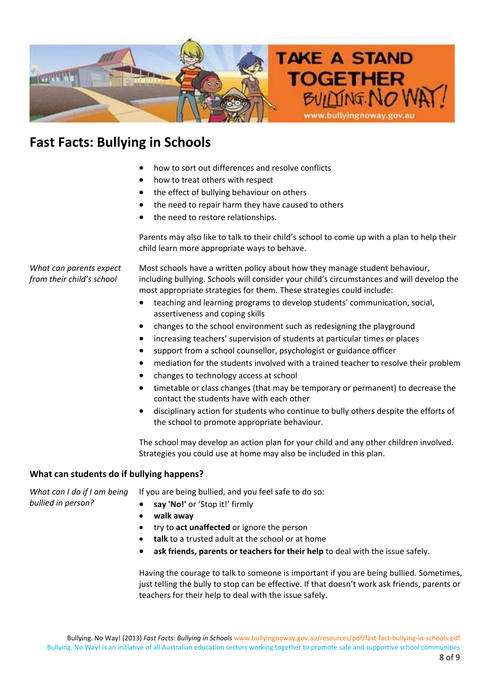

- how to sort out differences and resolve conflicts
- how to treat others with respect
- the effect of bullying behaviour on others
- the need to repair harm they have caused to others
- the need to restore relationships.

Parents may also like to talk to their child's school to come up with a plan to help their child learn more appropriate ways to behave.

*What can parents expect from their child's school*

*bullied in person?*

Most schools have a written policy about how they manage student behaviour, including bullying. Schools will consider your child's circumstances and will develop the most appropriate strategies for them. These strategies could include:

- teaching and learning programs to develop students' communication, social, assertiveness and coping skills
- changes to the school environment such as redesigning the playground
- increasing teachers' supervision of students at particular times or places
- support from a school counsellor, psychologist or guidance officer
- mediation for the students involved with a trained teacher to resolve their problem
- changes to technology access at school
- timetable or class changes (that may be temporary or permanent) to decrease the contact the students have with each other
- disciplinary action for students who continue to bully others despite the efforts of the school to promote appropriate behaviour.

The school may develop an action plan for your child and any other children involved. Strategies you could use at home may also be included in this plan.

#### **What can students do if bullying happens?**

*What can I do if I am being* If you are being bullied, and you feel safe to do so:

- x **say 'No!'** or 'Stop it!' firmly
- x **walk away**
- x try to **act unaffected** or ignore the person
- talk to a trusted adult at the school or at home
- x **ask friends, parents or teachers for their help** to deal with the issue safely.

Having the courage to talk to someone is important if you are being bullied. Sometimes, just telling the bully to stop can be effective. If that doesn't work ask friends, parents or teachers for their help to deal with the issue safely.